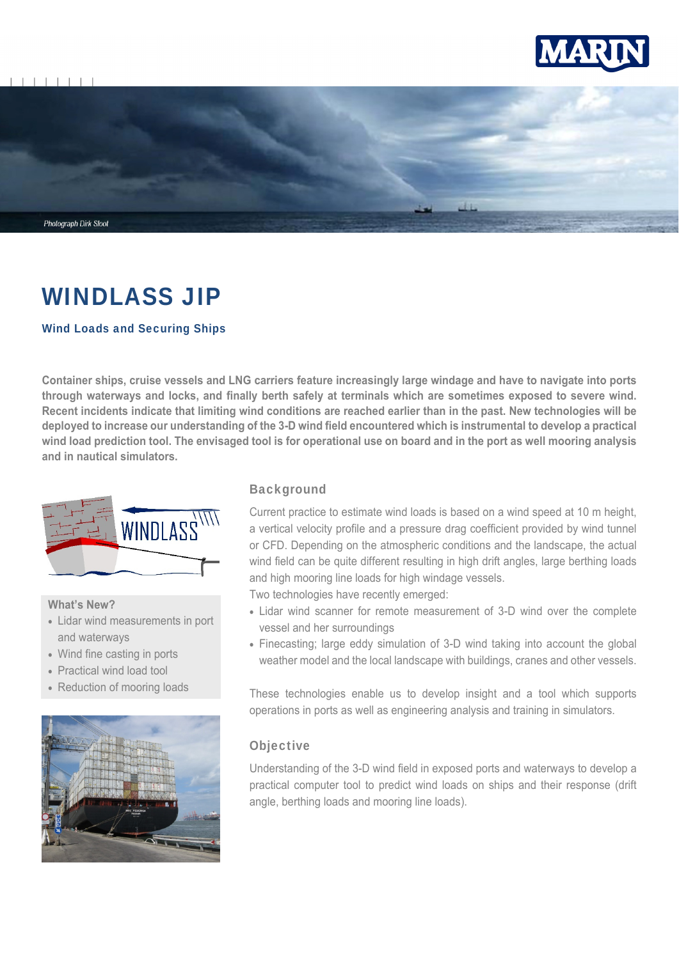



# WINDLASS JIP

## Wind Loads and Securing Ships

**Container ships, cruise vessels and LNG carriers feature increasingly large windage and have to navigate into ports through waterways and locks, and finally berth safely at terminals which are sometimes exposed to severe wind. Recent incidents indicate that limiting wind conditions are reached earlier than in the past. New technologies will be deployed to increase our understanding of the 3-D wind field encountered which is instrumental to develop a practical wind load prediction tool. The envisaged tool is for operational use on board and in the port as well mooring analysis and in nautical simulators.** 



#### **What's New?**

- Lidar wind measurements in port and waterways
- Wind fine casting in ports
- Practical wind load tool
- Reduction of mooring loads



#### **Background**

Current practice to estimate wind loads is based on a wind speed at 10 m height, a vertical velocity profile and a pressure drag coefficient provided by wind tunnel or CFD. Depending on the atmospheric conditions and the landscape, the actual wind field can be quite different resulting in high drift angles, large berthing loads and high mooring line loads for high windage vessels.

Two technologies have recently emerged:

- Lidar wind scanner for remote measurement of 3-D wind over the complete vessel and her surroundings
- Finecasting; large eddy simulation of 3-D wind taking into account the global weather model and the local landscape with buildings, cranes and other vessels.

These technologies enable us to develop insight and a tool which supports operations in ports as well as engineering analysis and training in simulators.

## **Objective**

Understanding of the 3-D wind field in exposed ports and waterways to develop a practical computer tool to predict wind loads on ships and their response (drift angle, berthing loads and mooring line loads).